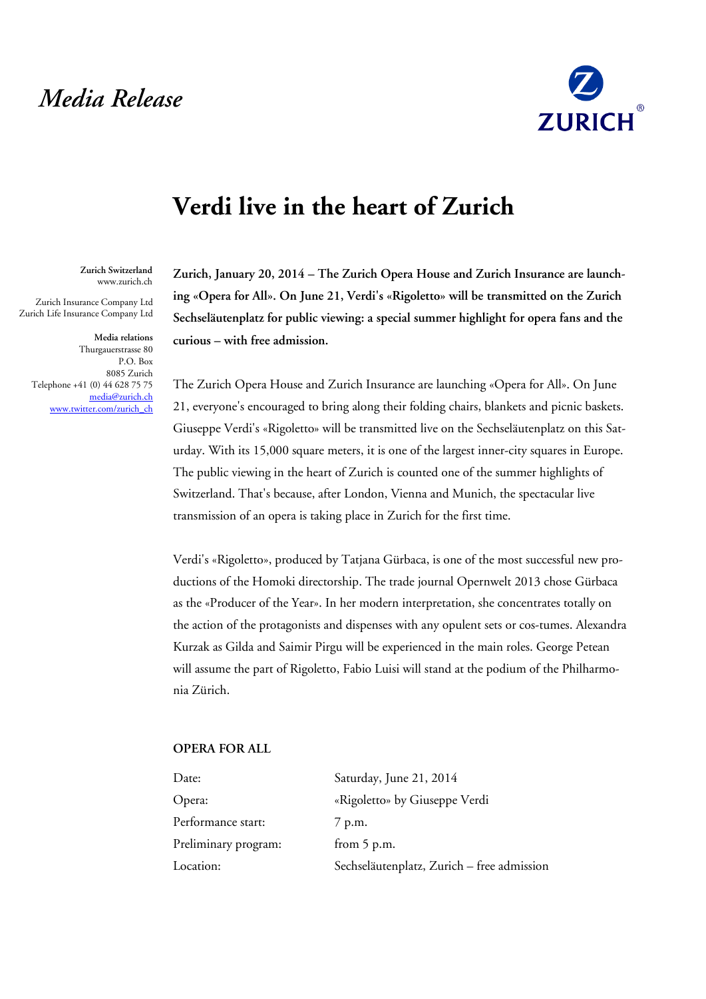## *Media Release*



## **Verdi live in the heart of Zurich**

**Zurich Switzerland** www.zurich.ch

Zurich Insurance Company Ltd Zurich Life Insurance Company Ltd

**Media relations** Thurgauerstrasse 80 P.O. Box 8085 Zurich Telephone +41 (0) 44 628 75 75 [media@zurich.ch](mailto:media@zurich.ch) [www.twitter.com/zurich\\_ch](http://www.twitter.com/zurich_ch)

**Zurich, January 20, 2014 – The Zurich Opera House and Zurich Insurance are launching «Opera for All». On June 21, Verdi's «Rigoletto» will be transmitted on the Zurich Sechseläutenplatz for public viewing: a special summer highlight for opera fans and the curious – with free admission.**

The Zurich Opera House and Zurich Insurance are launching «Opera for All». On June 21, everyone's encouraged to bring along their folding chairs, blankets and picnic baskets. Giuseppe Verdi's «Rigoletto» will be transmitted live on the Sechseläutenplatz on this Saturday. With its 15,000 square meters, it is one of the largest inner-city squares in Europe. The public viewing in the heart of Zurich is counted one of the summer highlights of Switzerland. That's because, after London, Vienna and Munich, the spectacular live transmission of an opera is taking place in Zurich for the first time.

Verdi's «Rigoletto», produced by Tatjana Gürbaca, is one of the most successful new productions of the Homoki directorship. The trade journal Opernwelt 2013 chose Gürbaca as the «Producer of the Year». In her modern interpretation, she concentrates totally on the action of the protagonists and dispenses with any opulent sets or cos-tumes. Alexandra Kurzak as Gilda and Saimir Pirgu will be experienced in the main roles. George Petean will assume the part of Rigoletto, Fabio Luisi will stand at the podium of the Philharmonia Zürich.

## **OPERA FOR ALL**

| Saturday, June 21, 2014                    |
|--------------------------------------------|
| «Rigoletto» by Giuseppe Verdi              |
| 7 p.m.                                     |
| from $5$ p.m.                              |
| Sechseläutenplatz, Zurich - free admission |
|                                            |